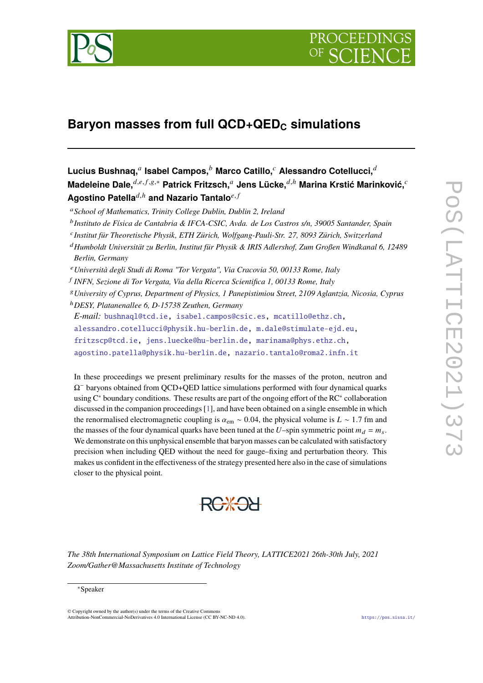

# **Baryon masses from full QCD+QED<sup>C</sup> simulations**

- <sup>a</sup> School of Mathematics, Trinity College Dublin, Dublin 2, Ireland
- <sup>b</sup> Instituto de Física de Cantabria & IFCA-CSIC, Avda. de Los Castros s/n, 39005 Santander, Spain
- <sup>c</sup> Institut für Theoretische Physik, ETH Zürich, Wolfgang-Pauli-Str. 27, 8093 Zürich, Switzerland
- <sup>𝑑</sup>*Humboldt Universität zu Berlin, Institut für Physik & IRIS Adlershof, Zum Großen Windkanal 6, 12489 Berlin, Germany*
- <sup>𝑒</sup>*Università degli Studi di Roma "Tor Vergata", Via Cracovia 50, 00133 Rome, Italy*
- 𝑓 *INFN, Sezione di Tor Vergata, Via della Ricerca Scientifica 1, 00133 Rome, Italy*
- <sup>𝑔</sup>*University of Cyprus, Department of Physics, 1 Panepistimiou Street, 2109 Aglantzia, Nicosia, Cyprus*
- <sup>ℎ</sup>*DESY, Platanenallee 6, D-15738 Zeuthen, Germany*

*E-mail:* [bushnaql@tcd.ie,](mailto:bushnaql@tcd.ie) [isabel.campos@csic.es,](mailto:isabel.campos@csic.es) [mcatillo@ethz.ch,](mailto:mcatillo@ethz.ch)

- [alessandro.cotellucci@physik.hu-berlin.de,](mailto:alessandro.cotellucci@physik.hu-berlin.de) [m.dale@stimulate-ejd.eu,](mailto:m.dale@stimulate-ejd.eu)
- [fritzscp@tcd.ie,](mailto:fritzscp@tcd.ie) [jens.luecke@hu-berlin.de,](mailto:jens.luecke@hu-berlin.de) [marinama@phys.ethz.ch,](mailto:marinama@phys.ethz.ch)

[agostino.patella@physik.hu-berlin.de,](mailto:agostino.patella@physik.hu-berlin.de) [nazario.tantalo@roma2.infn.it](mailto:nazario.tantalo@roma2.infn.it)

In these proceedings we present preliminary results for the masses of the proton, neutron and  $\Omega$ <sup>-</sup> baryons obtained from QCD+QED lattice simulations performed with four dynamical quarks using C<sup>∗</sup> boundary conditions. These results are part of the ongoing effort of the RC<sup>∗</sup> collaboration discussed in the companion proceedings [\[1\]](#page-7-0), and have been obtained on a single ensemble in which the renormalised electromagnetic coupling is  $\alpha_{em} \sim 0.04$ , the physical volume is  $L \sim 1.7$  fm and the masses of the four dynamical quarks have been tuned at the U–spin symmetric point  $m_d = m_s$ . We demonstrate on this unphysical ensemble that baryon masses can be calculated with satisfactory precision when including QED without the need for gauge–fixing and perturbation theory. This makes us confident in the effectiveness of the strategy presented here also in the case of simulations closer to the physical point.



*The 38th International Symposium on Lattice Field Theory, LATTICE2021 26th-30th July, 2021 Zoom/Gather@Massachusetts Institute of Technology*

#### <sup>∗</sup>Speaker

© Copyright owned by the author(s) under the terms of the Creative Commons Attribution-NonCommercial-NoDerivatives 4.0 International License (CC BY-NC-ND 4.0). <https://pos.sissa.it/>

 $\mathsf{Lucius~Bushnaq,}^a$  Isabel Campos, $^b$  Marco Catillo, $^c$  Alessandro Cotellucci, $^{\widetilde{d}}$ **Madeleine Dale,**  $d,e,f,g,*$  Patrick Fritzsch,<sup>a</sup> Jens Lücke,  $d,h$  Marina Krstić Marinković,<sup>c</sup> **Agostino Patella**<sup> $d,h$ </sup> and Nazario Tantalo<sup>e, f</sup>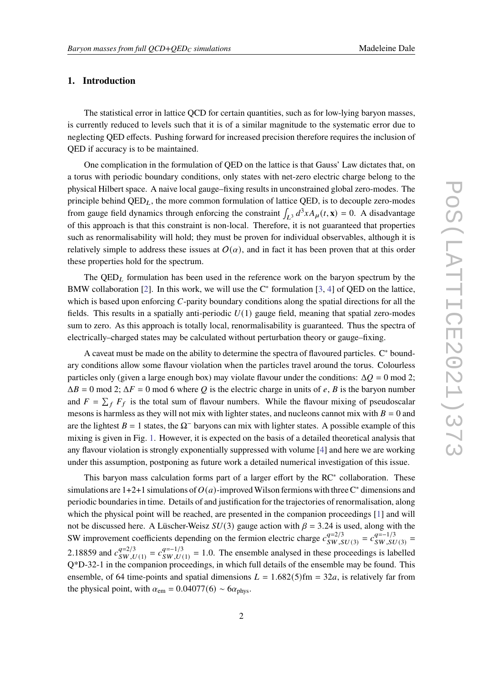# **1. Introduction**

The statistical error in lattice QCD for certain quantities, such as for low-lying baryon masses, is currently reduced to levels such that it is of a similar magnitude to the systematic error due to neglecting QED effects. Pushing forward for increased precision therefore requires the inclusion of QED if accuracy is to be maintained.

One complication in the formulation of QED on the lattice is that Gauss' Law dictates that, on a torus with periodic boundary conditions, only states with net-zero electric charge belong to the physical Hilbert space. A naive local gauge–fixing results in unconstrained global zero-modes. The principle behind  $QED<sub>L</sub>$ , the more common formulation of lattice  $QED$ , is to decouple zero-modes from gauge field dynamics through enforcing the constraint  $\int_{L^3} d^3x A_\mu(t, \mathbf{x}) = 0$ . A disadvantage of this approach is that this constraint is non-local. Therefore, it is not guaranteed that properties such as renormalisability will hold; they must be proven for individual observables, although it is relatively simple to address these issues at  $O(\alpha)$ , and in fact it has been proven that at this order these properties hold for the spectrum.

The  $QED<sub>L</sub>$  formulation has been used in the reference work on the baryon spectrum by the BMW collaboration [\[2\]](#page-7-1). In this work, we will use the  $C^*$  formulation [\[3,](#page-7-2) [4\]](#page-7-3) of QED on the lattice, which is based upon enforcing  $C$ -parity boundary conditions along the spatial directions for all the fields. This results in a spatially anti-periodic  $U(1)$  gauge field, meaning that spatial zero-modes sum to zero. As this approach is totally local, renormalisability is guaranteed. Thus the spectra of electrically–charged states may be calculated without perturbation theory or gauge–fixing.

A caveat must be made on the ability to determine the spectra of flavoured particles. C<sup>∗</sup> boundary conditions allow some flavour violation when the particles travel around the torus. Colourless particles only (given a large enough box) may violate flavour under the conditions:  $\Delta Q = 0$  mod 2;  $\Delta B = 0$  mod 2;  $\Delta F = 0$  mod 6 where Q is the electric charge in units of e, B is the baryon number and  $F = \sum_f F_f$  is the total sum of flavour numbers. While the flavour mixing of pseudoscalar mesons is harmless as they will not mix with lighter states, and nucleons cannot mix with  $B = 0$  and are the lightest  $B = 1$  states, the  $\Omega^-$  baryons can mix with lighter states. A possible example of this mixing is given in Fig. [1.](#page-2-0) However, it is expected on the basis of a detailed theoretical analysis that any flavour violation is strongly exponentially suppressed with volume [\[4\]](#page-7-3) and here we are working under this assumption, postponing as future work a detailed numerical investigation of this issue.

This baryon mass calculation forms part of a larger effort by the RC<sup>∗</sup> collaboration. These simulations are 1+2+1 simulations of  $O(a)$ -improved Wilson fermions with three C<sup>∗</sup> dimensions and periodic boundaries in time. Details of and justification for the trajectories of renormalisation, along which the physical point will be reached, are presented in the companion proceedings [\[1\]](#page-7-0) and will not be discussed here. A Lüscher-Weisz  $SU(3)$  gauge action with  $\beta = 3.24$  is used, along with the SW improvement coefficients depending on the fermion electric charge  $c_{\text{sw}}^{q=2/3}$  $\frac{q=2/3}{SW, SU(3)} = c \frac{q=-1/3}{SW, SU(3)}$  $\frac{q=-1/3}{SW, SU(3)}$  = 2.18859 and  $c_{SWI}^{q=2/3}$  $q=2/3$ <br>SW,U(1) =  $c_{SW,U}^{q=-1/3}$  $q=-1/3$ <br>  $SW, U(1) = 1.0$ . The ensemble analysed in these proceedings is labelled Q\*D-32-1 in the companion proceedings, in which full details of the ensemble may be found. This ensemble, of 64 time-points and spatial dimensions  $L = 1.682(5)$  fm = 32a, is relatively far from the physical point, with  $\alpha_{em} = 0.04077(6) \sim 6\alpha_{phys}$ .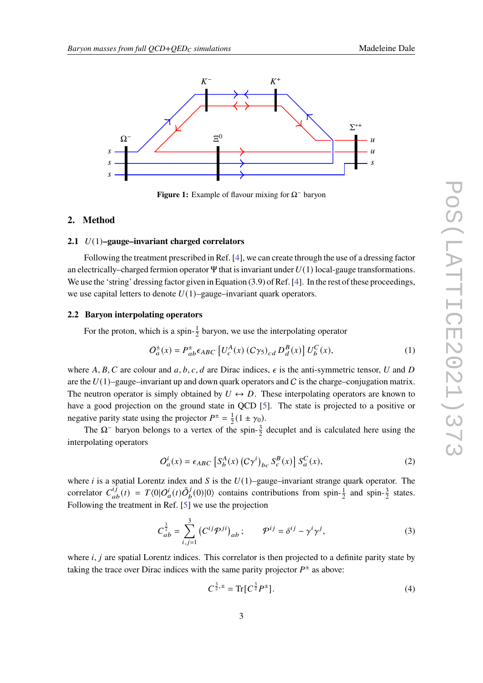<span id="page-2-0"></span>

**Figure 1:** Example of flavour mixing for Ω<sup>−</sup> baryon

# **2. Method**

#### **2.1** 𝑈(1)**–gauge–invariant charged correlators**

Following the treatment prescribed in Ref. [\[4\]](#page-7-3), we can create through the use of a dressing factor an electrically–charged fermion operator Ψ that is invariant under  $U(1)$  local-gauge transformations. We use the 'string' dressing factor given in Equation (3.9) of Ref. [\[4\]](#page-7-3). In the rest of these proceedings, we use capital letters to denote  $U(1)$ –gauge–invariant quark operators.

## <span id="page-2-1"></span>**2.2 Baryon interpolating operators**

For the proton, which is a spin- $\frac{1}{2}$  baryon, we use the interpolating operator

$$
O_d^{\pm}(x) = P_{ab}^{\pm} \epsilon_{ABC} \left[ U_c^A(x) \left( C \gamma_5 \right)_{cd} D_d^B(x) \right] U_b^C(x), \tag{1}
$$

where A, B, C are colour and a, b, c, d are Dirac indices,  $\epsilon$  is the anti-symmetric tensor, U and D are the  $U(1)$ –gauge–invariant up and down quark operators and C is the charge–conjugation matrix. The neutron operator is simply obtained by  $U \leftrightarrow D$ . These interpolating operators are known to have a good projection on the ground state in QCD [\[5\]](#page-7-4). The state is projected to a positive or negative parity state using the projector  $P^{\pm} = \frac{1}{2}$  $\frac{1}{2}(1 \pm \gamma_0).$ 

The  $\Omega$ <sup>-</sup> baryon belongs to a vertex of the spin- $\frac{3}{2}$  decuplet and is calculated here using the interpolating operators

$$
O_a^i(x) = \epsilon_{ABC} \left[ S_b^A(x) \left( C \gamma^i \right)_{bc} S_c^B(x) \right] S_a^C(x), \tag{2}
$$

where *i* is a spatial Lorentz index and *S* is the  $U(1)$ –gauge–invariant strange quark operator. The correlator  $C_{ab}^{i\hat{j}}(t) = T \langle 0 | O_a^i(t) \bar{O}_b^j \rangle$  $J_b^j(0)|0\rangle$  contains contributions from spin- $\frac{1}{2}$  and spin- $\frac{3}{2}$  states. Following the treatment in Ref. [\[5\]](#page-7-4) we use the projection

$$
C_{ab}^{\frac{3}{2}} = \sum_{i,j=1}^{3} (C^{ij} \mathcal{P}^{ji})_{ab} ; \qquad \mathcal{P}^{ij} = \delta^{ij} - \gamma^{i} \gamma^{j}, \qquad (3)
$$

where  $i, j$  are spatial Lorentz indices. This correlator is then projected to a definite parity state by taking the trace over Dirac indices with the same parity projector  $P^{\pm}$  as above:

$$
C^{\frac{3}{2},\pm} = \text{Tr}[C^{\frac{3}{2}}P^{\pm}].
$$
 (4)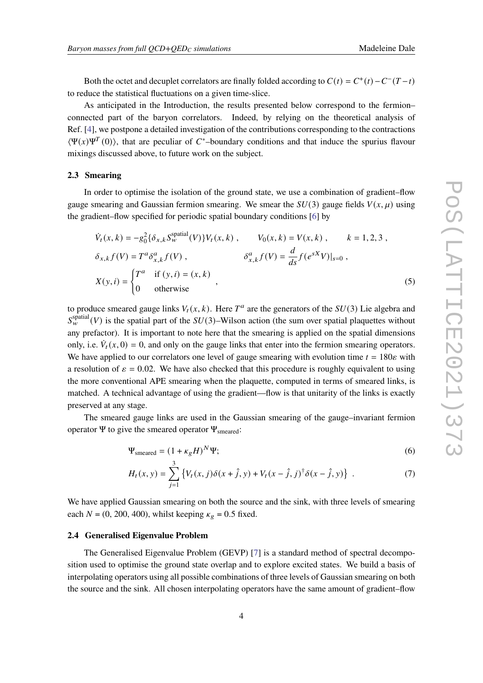Both the octet and decuplet correlators are finally folded according to  $C(t) = C^+(t) - C^-(T-t)$ to reduce the statistical fluctuations on a given time-slice.

As anticipated in the Introduction, the results presented below correspond to the fermion– connected part of the baryon correlators. Indeed, by relying on the theoretical analysis of Ref. [\[4\]](#page-7-3), we postpone a detailed investigation of the contributions corresponding to the contractions  $\langle \Psi(x) \Psi^{T}(0) \rangle$ , that are peculiar of C\*-boundary conditions and that induce the spurius flavour mixings discussed above, to future work on the subject.

#### **2.3 Smearing**

In order to optimise the isolation of the ground state, we use a combination of gradient–flow gauge smearing and Gaussian fermion smearing. We smear the  $SU(3)$  gauge fields  $V(x, \mu)$  using the gradient–flow specified for periodic spatial boundary conditions [\[6\]](#page-7-5) by

$$
\dot{V}_t(x, k) = -g_0^2 \{ \delta_{x,k} S_w^{\text{spatial}}(V) \} V_t(x, k) , \qquad V_0(x, k) = V(x, k) , \qquad k = 1, 2, 3 ,
$$
\n
$$
\delta_{x,k} f(V) = T^a \delta_{x,k}^a f(V) , \qquad \delta_{x,k}^a f(V) = \frac{d}{ds} f(e^{sX} V)|_{s=0} ,
$$
\n
$$
X(y, i) = \begin{cases} T^a & \text{if } (y, i) = (x, k) \\ 0 & \text{otherwise} \end{cases} ,
$$
\n(5)

to produce smeared gauge links  $V_t(x, k)$ . Here  $T^a$  are the generators of the  $SU(3)$  Lie algebra and  $S_{w}^{\text{spatial}}(V)$  is the spatial part of the  $SU(3)$ –Wilson action (the sum over spatial plaquettes without any prefactor). It is important to note here that the smearing is applied on the spatial dimensions only, i.e.  $\dot{V}_t(x, 0) = 0$ , and only on the gauge links that enter into the fermion smearing operators. We have applied to our correlators one level of gauge smearing with evolution time  $t = 180\varepsilon$  with a resolution of  $\varepsilon = 0.02$ . We have also checked that this procedure is roughly equivalent to using the more conventional APE smearing when the plaquette, computed in terms of smeared links, is matched. A technical advantage of using the gradient—flow is that unitarity of the links is exactly preserved at any stage.

The smeared gauge links are used in the Gaussian smearing of the gauge–invariant fermion operator Ψ to give the smeared operator  $\Psi$ <sub>smeared</sub>:

$$
\Psi_{\text{smeared}} = (1 + \kappa_g H)^N \Psi; \tag{6}
$$

$$
H_t(x, y) = \sum_{j=1}^3 \left\{ V_t(x, j) \delta(x + \hat{j}, y) + V_t(x - \hat{j}, j)^\dagger \delta(x - \hat{j}, y) \right\} \ . \tag{7}
$$

We have applied Gaussian smearing on both the source and the sink, with three levels of smearing each  $N = (0, 200, 400)$ , whilst keeping  $\kappa_{\rho} = 0.5$  fixed.

#### **2.4 Generalised Eigenvalue Problem**

The Generalised Eigenvalue Problem (GEVP) [\[7\]](#page-7-6) is a standard method of spectral decomposition used to optimise the ground state overlap and to explore excited states. We build a basis of interpolating operators using all possible combinations of three levels of Gaussian smearing on both the source and the sink. All chosen interpolating operators have the same amount of gradient–flow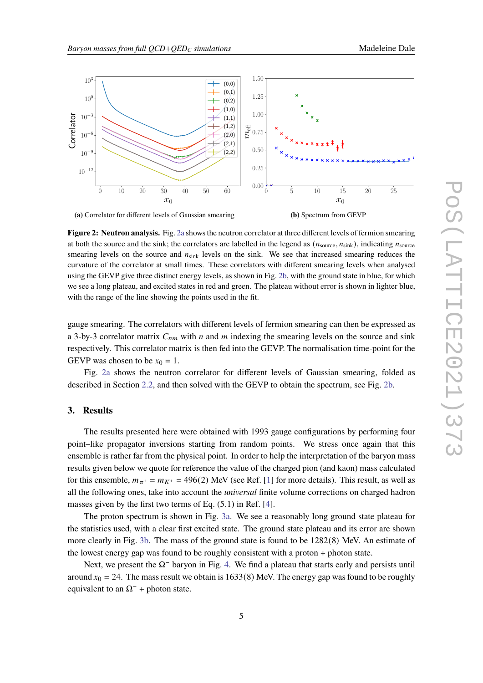<span id="page-4-0"></span>

**Figure 2: Neutron analysis.** Fig. [2a](#page-4-0) shows the neutron correlator at three different levels of fermion smearing at both the source and the sink; the correlators are labelled in the legend as  $(n_{\text{source}}, n_{\text{sink}})$ , indicating  $n_{\text{source}}$ smearing levels on the source and  $n_{\text{sink}}$  levels on the sink. We see that increased smearing reduces the curvature of the correlator at small times. These correlators with different smearing levels when analysed using the GEVP give three distinct energy levels, as shown in Fig. [2b,](#page-4-0) with the ground state in blue, for which we see a long plateau, and excited states in red and green. The plateau without error is shown in lighter blue, with the range of the line showing the points used in the fit.

gauge smearing. The correlators with different levels of fermion smearing can then be expressed as a 3-by-3 correlator matrix  $C_{nm}$  with *n* and *m* indexing the smearing levels on the source and sink respectively. This correlator matrix is then fed into the GEVP. The normalisation time-point for the GEVP was chosen to be  $x_0 = 1$ .

Fig. [2a](#page-4-0) shows the neutron correlator for different levels of Gaussian smearing, folded as described in Section [2.2,](#page-2-1) and then solved with the GEVP to obtain the spectrum, see Fig. [2b.](#page-4-0)

#### **3. Results**

The results presented here were obtained with 1993 gauge configurations by performing four point–like propagator inversions starting from random points. We stress once again that this ensemble is rather far from the physical point. In order to help the interpretation of the baryon mass results given below we quote for reference the value of the charged pion (and kaon) mass calculated for this ensemble,  $m_{\pi^+} = m_{K^+} = 496(2)$  MeV (see Ref. [\[1\]](#page-7-0) for more details). This result, as well as all the following ones, take into account the *universal* finite volume corrections on charged hadron masses given by the first two terms of Eq. (5.1) in Ref. [\[4\]](#page-7-3).

The proton spectrum is shown in Fig. [3a.](#page-5-0) We see a reasonably long ground state plateau for the statistics used, with a clear first excited state. The ground state plateau and its error are shown more clearly in Fig. [3b.](#page-5-0) The mass of the ground state is found to be 1282(8) MeV. An estimate of the lowest energy gap was found to be roughly consistent with a proton + photon state.

Next, we present the  $\Omega$ <sup>−</sup> baryon in Fig. [4.](#page-5-1) We find a plateau that starts early and persists until around  $x_0 = 24$ . The mass result we obtain is 1633(8) MeV. The energy gap was found to be roughly equivalent to an  $\Omega^-$  + photon state.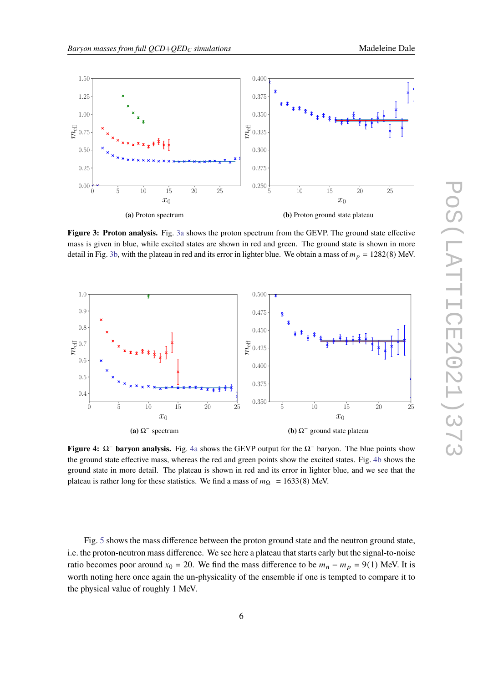<span id="page-5-0"></span>

**Figure 3: Proton analysis.** Fig. [3a](#page-5-0) shows the proton spectrum from the GEVP. The ground state effective mass is given in blue, while excited states are shown in red and green. The ground state is shown in more detail in Fig. [3b,](#page-5-0) with the plateau in red and its error in lighter blue. We obtain a mass of  $m_p = 1282(8)$  MeV.

<span id="page-5-1"></span>

**Figure 4:** Ω<sup>−</sup> **baryon analysis.** Fig. [4a](#page-5-1) shows the GEVP output for the Ω<sup>−</sup> baryon. The blue points show the ground state effective mass, whereas the red and green points show the excited states. Fig. [4b](#page-5-1) shows the ground state in more detail. The plateau is shown in red and its error in lighter blue, and we see that the plateau is rather long for these statistics. We find a mass of  $m_{\Omega^-} = 1633(8)$  MeV.

Fig. [5](#page-6-0) shows the mass difference between the proton ground state and the neutron ground state, i.e. the proton-neutron mass difference. We see here a plateau that starts early but the signal-to-noise ratio becomes poor around  $x_0 = 20$ . We find the mass difference to be  $m_n - m_p = 9(1)$  MeV. It is worth noting here once again the un-physicality of the ensemble if one is tempted to compare it to the physical value of roughly 1 MeV.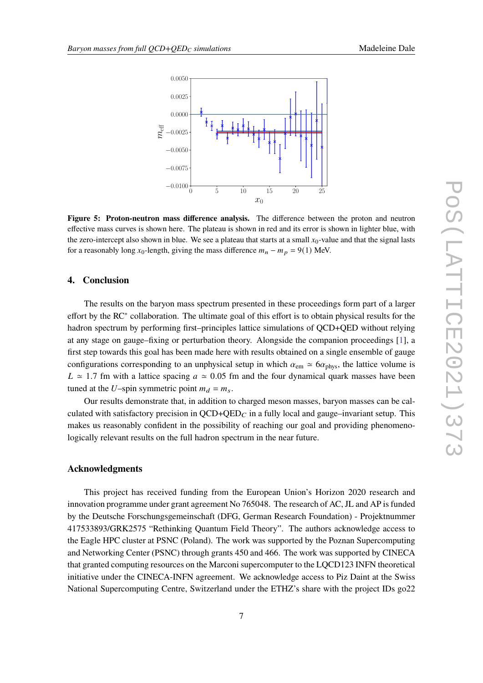<span id="page-6-0"></span>

**Figure 5: Proton-neutron mass difference analysis.** The difference between the proton and neutron effective mass curves is shown here. The plateau is shown in red and its error is shown in lighter blue, with the zero-intercept also shown in blue. We see a plateau that starts at a small  $x_0$ -value and that the signal lasts for a reasonably long  $x_0$ -length, giving the mass difference  $m_n - m_p = 9(1)$  MeV.

## **4. Conclusion**

The results on the baryon mass spectrum presented in these proceedings form part of a larger effort by the RC<sup>∗</sup> collaboration. The ultimate goal of this effort is to obtain physical results for the hadron spectrum by performing first–principles lattice simulations of QCD+QED without relying at any stage on gauge–fixing or perturbation theory. Alongside the companion proceedings [\[1\]](#page-7-0), a first step towards this goal has been made here with results obtained on a single ensemble of gauge configurations corresponding to an unphysical setup in which  $\alpha_{em} \simeq 6\alpha_{phys}$ , the lattice volume is  $L \approx 1.7$  fm with a lattice spacing  $a \approx 0.05$  fm and the four dynamical quark masses have been tuned at the U–spin symmetric point  $m_d = m_s$ .

Our results demonstrate that, in addition to charged meson masses, baryon masses can be calculated with satisfactory precision in  $QCD+QED_C$  in a fully local and gauge–invariant setup. This makes us reasonably confident in the possibility of reaching our goal and providing phenomenologically relevant results on the full hadron spectrum in the near future.

#### **Acknowledgments**

This project has received funding from the European Union's Horizon 2020 research and innovation programme under grant agreement No 765048. The research of AC, JL and AP is funded by the Deutsche Forschungsgemeinschaft (DFG, German Research Foundation) - Projektnummer 417533893/GRK2575 "Rethinking Quantum Field Theory". The authors acknowledge access to the Eagle HPC cluster at PSNC (Poland). The work was supported by the Poznan Supercomputing and Networking Center (PSNC) through grants 450 and 466. The work was supported by CINECA that granted computing resources on the Marconi supercomputer to the LQCD123 INFN theoretical initiative under the CINECA-INFN agreement. We acknowledge access to Piz Daint at the Swiss National Supercomputing Centre, Switzerland under the ETHZ's share with the project IDs go22